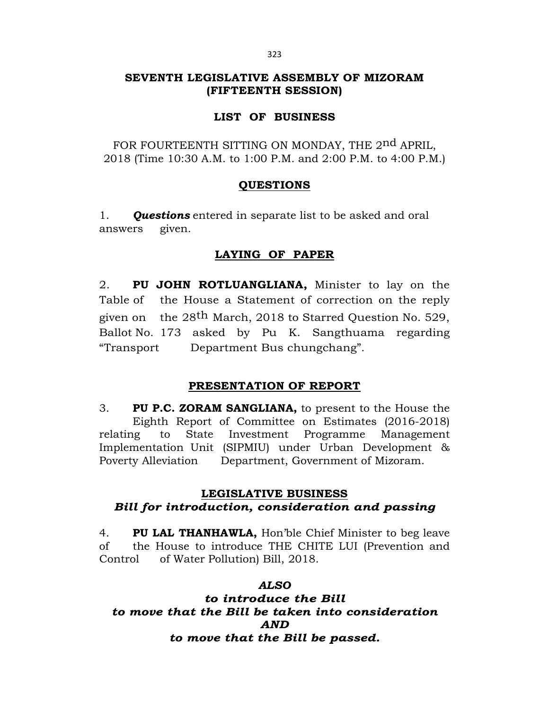# **SEVENTH LEGISLATIVE ASSEMBLY OF MIZORAM (FIFTEENTH SESSION)**

# **LIST OF BUSINESS**

FOR FOURTEENTH SITTING ON MONDAY, THE 2nd APRIL, 2018 (Time 10:30 A.M. to 1:00 P.M. and 2:00 P.M. to 4:00 P.M.)

# **QUESTIONS**

1. *Questions* entered in separate list to be asked and oral answers given.

# **LAYING OF PAPER**

2. **PU JOHN ROTLUANGLIANA,** Minister to lay on the Table of the House a Statement of correction on the reply given on the 28<sup>th</sup> March, 2018 to Starred Question No. 529, Ballot No. 173 asked by Pu K. Sangthuama regarding "Transport Department Bus chungchang".

# **PRESENTATION OF REPORT**

3. **PU P.C. ZORAM SANGLIANA,** to present to the House the Eighth Report of Committee on Estimates (2016-2018) relating to State Investment Programme Management Implementation Unit (SIPMIU) under Urban Development & Poverty Alleviation Department, Government of Mizoram.

# **LEGISLATIVE BUSINESS**

# *Bill for introduction, consideration and passing*

4. **PU LAL THANHAWLA,** Hon'ble Chief Minister to beg leave of the House to introduce THE CHITE LUI (Prevention and Control of Water Pollution) Bill, 2018.

# *ALSO*

*to introduce the Bill to move that the Bill be taken into consideration AND to move that the Bill be passed.*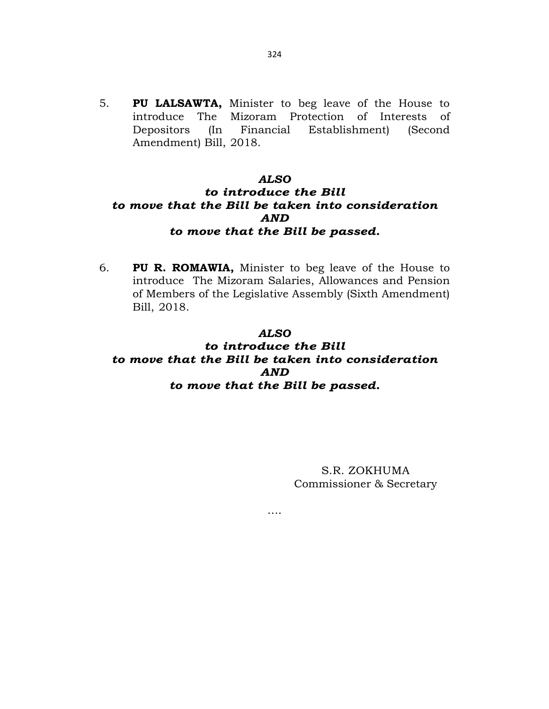5. **PU LALSAWTA,** Minister to beg leave of the House to introduce The Mizoram Protection of Interests of Depositors (In Financial Establishment) (Second Amendment) Bill, 2018.

## *ALSO*

# *to introduce the Bill to move that the Bill be taken into consideration AND to move that the Bill be passed.*

6. **PU R. ROMAWIA,** Minister to beg leave of the House to introduce The Mizoram Salaries, Allowances and Pension of Members of the Legislative Assembly (Sixth Amendment) Bill, 2018.

## *ALSO*

# *to introduce the Bill to move that the Bill be taken into consideration AND to move that the Bill be passed.*

….

S.R. ZOKHUMA Commissioner & Secretary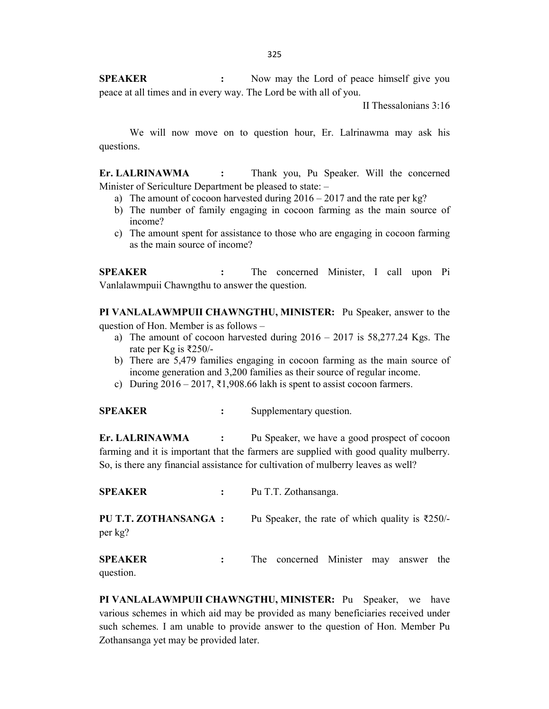**SPEAKER** : Now may the Lord of peace himself give you peace at all times and in every way. The Lord be with all of you.

II Thessalonians 3:16

We will now move on to question hour, Er. Lalrinawma may ask his questions.

**Er. LALRINAWMA :** Thank you, Pu Speaker. Will the concerned Minister of Sericulture Department be pleased to state: –

- a) The amount of cocoon harvested during  $2016 2017$  and the rate per kg?
- b) The number of family engaging in cocoon farming as the main source of income?
- c) The amount spent for assistance to those who are engaging in cocoon farming as the main source of income?

**SPEAKER :** The concerned Minister, I call upon Pi Vanlalawmpuii Chawngthu to answer the question.

**PI VANLALAWMPUII CHAWNGTHU, MINISTER:** Pu Speaker, answer to the question of Hon. Member is as follows –

- a) The amount of cocoon harvested during  $2016 2017$  is  $58,277.24$  Kgs. The rate per Kg is ₹250/-
- b) There are 5,479 families engaging in cocoon farming as the main source of income generation and 3,200 families as their source of regular income.
- c) During  $2016 2017$ , ₹1,908.66 lakh is spent to assist cocoon farmers.

**SPEAKER** : Supplementary question.

**Er. LALRINAWMA :** Pu Speaker, we have a good prospect of cocoon farming and it is important that the farmers are supplied with good quality mulberry. So, is there any financial assistance for cultivation of mulberry leaves as well?

**SPEAKER :** Pu T.T. Zothansanga. **PU T.T. ZOTHANSANGA :** Pu Speaker, the rate of which quality is ₹250/per kg?

**SPEAKER :** The concerned Minister may answer the question.

**PI VANLALAWMPUII CHAWNGTHU, MINISTER:** Pu Speaker, we have various schemes in which aid may be provided as many beneficiaries received under such schemes. I am unable to provide answer to the question of Hon. Member Pu Zothansanga yet may be provided later.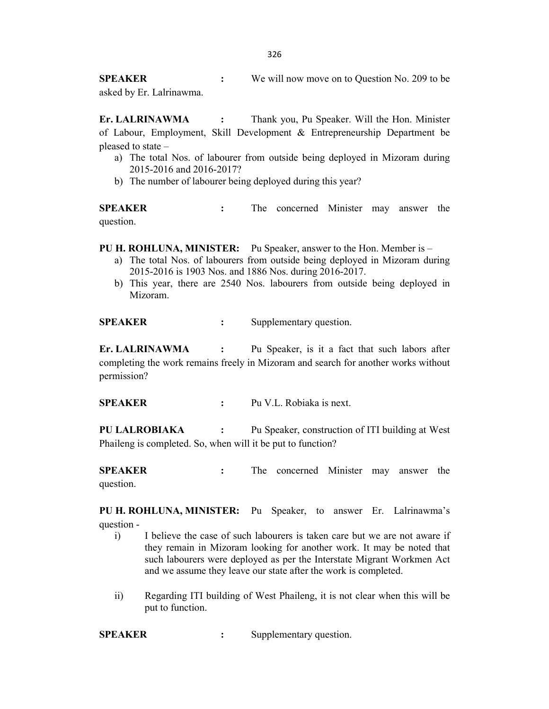**SPEAKER** : We will now move on to Question No. 209 to be asked by Er. Lalrinawma.

**Er. LALRINAWMA :** Thank you, Pu Speaker. Will the Hon. Minister of Labour, Employment, Skill Development & Entrepreneurship Department be pleased to state –

- a) The total Nos. of labourer from outside being deployed in Mizoram during 2015-2016 and 2016-2017?
- b) The number of labourer being deployed during this year?

**SPEAKER** : The concerned Minister may answer the question.

**PU H. ROHLUNA, MINISTER:** Pu Speaker, answer to the Hon. Member is –

- a) The total Nos. of labourers from outside being deployed in Mizoram during 2015-2016 is 1903 Nos. and 1886 Nos. during 2016-2017.
- b) This year, there are 2540 Nos. labourers from outside being deployed in Mizoram.

**SPEAKER** : Supplementary question.

**Er. LALRINAWMA :** Pu Speaker, is it a fact that such labors after completing the work remains freely in Mizoram and search for another works without permission?

**SPEAKER :** Pu V.L. Robiaka is next.

**PU LALROBIAKA :** Pu Speaker, construction of ITI building at West Phaileng is completed. So, when will it be put to function?

**SPEAKER** : The concerned Minister may answer the question.

**PU H. ROHLUNA, MINISTER:** Pu Speaker, to answer Er. Lalrinawma's question -

- i) I believe the case of such labourers is taken care but we are not aware if they remain in Mizoram looking for another work. It may be noted that such labourers were deployed as per the Interstate Migrant Workmen Act and we assume they leave our state after the work is completed.
- ii) Regarding ITI building of West Phaileng, it is not clear when this will be put to function.

**SPEAKER** : Supplementary question.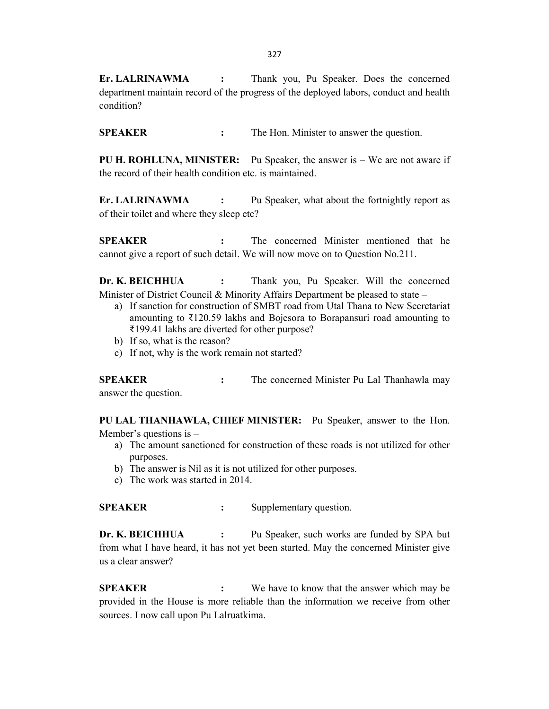**Er. LALRINAWMA :** Thank you, Pu Speaker. Does the concerned department maintain record of the progress of the deployed labors, conduct and health condition?

**SPEAKER** : The Hon. Minister to answer the question.

**PU H. ROHLUNA, MINISTER:** Pu Speaker, the answer is – We are not aware if the record of their health condition etc. is maintained.

**Er. LALRINAWMA :** Pu Speaker, what about the fortnightly report as of their toilet and where they sleep etc?

**SPEAKER :** The concerned Minister mentioned that he cannot give a report of such detail. We will now move on to Question No.211.

**Dr. K. BEICHHUA :** Thank you, Pu Speaker. Will the concerned Minister of District Council & Minority Affairs Department be pleased to state –

- a) If sanction for construction of SMBT road from Utal Thana to New Secretariat amounting to ₹120.59 lakhs and Bojesora to Borapansuri road amounting to ₹199.41 lakhs are diverted for other purpose?
- b) If so, what is the reason?
- c) If not, why is the work remain not started?

**SPEAKER** : The concerned Minister Pu Lal Thanhawla may answer the question.

**PU LAL THANHAWLA, CHIEF MINISTER:** Pu Speaker, answer to the Hon. Member's questions is –

- a) The amount sanctioned for construction of these roads is not utilized for other purposes.
- b) The answer is Nil as it is not utilized for other purposes.
- c) The work was started in 2014.

**SPEAKER** : Supplementary question.

**Dr. K. BEICHHUA** : Pu Speaker, such works are funded by SPA but from what I have heard, it has not yet been started. May the concerned Minister give us a clear answer?

**SPEAKER** : We have to know that the answer which may be provided in the House is more reliable than the information we receive from other sources. I now call upon Pu Lalruatkima.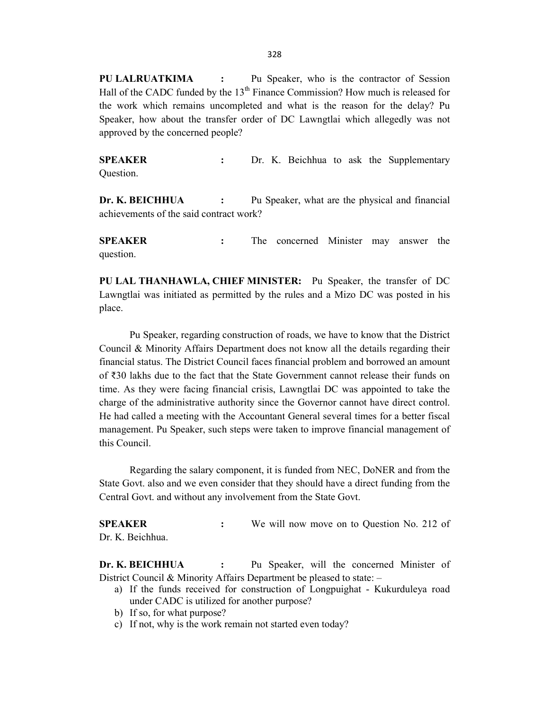**PU LALRUATKIMA :** Pu Speaker, who is the contractor of Session Hall of the CADC funded by the  $13<sup>th</sup>$  Finance Commission? How much is released for the work which remains uncompleted and what is the reason for the delay? Pu Speaker, how about the transfer order of DC Lawngtlai which allegedly was not approved by the concerned people?

**SPEAKER** : Dr. K. Beichhua to ask the Supplementary Question.

**Dr. K. BEICHHUA** : Pu Speaker, what are the physical and financial achievements of the said contract work?

**SPEAKER :** The concerned Minister may answer the question.

**PU LAL THANHAWLA, CHIEF MINISTER:** Pu Speaker, the transfer of DC Lawngtlai was initiated as permitted by the rules and a Mizo DC was posted in his place.

Pu Speaker, regarding construction of roads, we have to know that the District Council & Minority Affairs Department does not know all the details regarding their financial status. The District Council faces financial problem and borrowed an amount of ₹30 lakhs due to the fact that the State Government cannot release their funds on time. As they were facing financial crisis, Lawngtlai DC was appointed to take the charge of the administrative authority since the Governor cannot have direct control. He had called a meeting with the Accountant General several times for a better fiscal management. Pu Speaker, such steps were taken to improve financial management of this Council.

Regarding the salary component, it is funded from NEC, DoNER and from the State Govt. also and we even consider that they should have a direct funding from the Central Govt. and without any involvement from the State Govt.

**SPEAKER :** We will now move on to Question No. 212 of Dr. K. Beichhua.

**Dr. K. BEICHHUA** : Pu Speaker, will the concerned Minister of District Council & Minority Affairs Department be pleased to state: –

- a) If the funds received for construction of Longpuighat Kukurduleya road under CADC is utilized for another purpose?
- b) If so, for what purpose?
- c) If not, why is the work remain not started even today?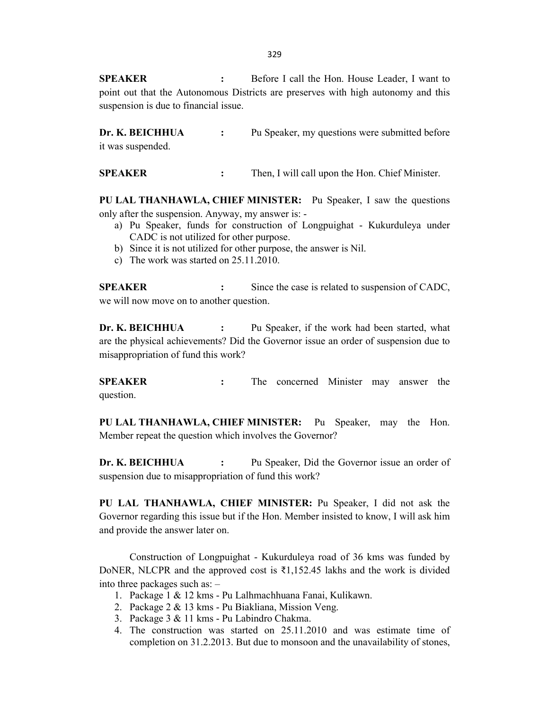329

**SPEAKER :** Before I call the Hon. House Leader, I want to point out that the Autonomous Districts are preserves with high autonomy and this suspension is due to financial issue.

**Dr. K. BEICHHUA** : Pu Speaker, my questions were submitted before it was suspended.

**SPEAKER** : Then, I will call upon the Hon. Chief Minister.

**PU LAL THANHAWLA, CHIEF MINISTER:** Pu Speaker, I saw the questions only after the suspension. Anyway, my answer is: -

- a) Pu Speaker, funds for construction of Longpuighat Kukurduleya under CADC is not utilized for other purpose.
- b) Since it is not utilized for other purpose, the answer is Nil.
- c) The work was started on 25.11.2010.

**SPEAKER** : Since the case is related to suspension of CADC, we will now move on to another question.

**Dr. K. BEICHHUA** : Pu Speaker, if the work had been started, what are the physical achievements? Did the Governor issue an order of suspension due to misappropriation of fund this work?

**SPEAKER :** The concerned Minister may answer the question.

**PU LAL THANHAWLA, CHIEF MINISTER:** Pu Speaker, may the Hon. Member repeat the question which involves the Governor?

**Dr. K. BEICHHUA** : Pu Speaker, Did the Governor issue an order of suspension due to misappropriation of fund this work?

**PU LAL THANHAWLA, CHIEF MINISTER:** Pu Speaker, I did not ask the Governor regarding this issue but if the Hon. Member insisted to know, I will ask him and provide the answer later on.

Construction of Longpuighat - Kukurduleya road of 36 kms was funded by DoNER, NLCPR and the approved cost is ₹1,152.45 lakhs and the work is divided into three packages such as: –

- 1. Package 1 & 12 kms Pu Lalhmachhuana Fanai, Kulikawn.
- 2. Package 2 & 13 kms Pu Biakliana, Mission Veng.
- 3. Package 3 & 11 kms Pu Labindro Chakma.
- 4. The construction was started on 25.11.2010 and was estimate time of completion on 31.2.2013. But due to monsoon and the unavailability of stones,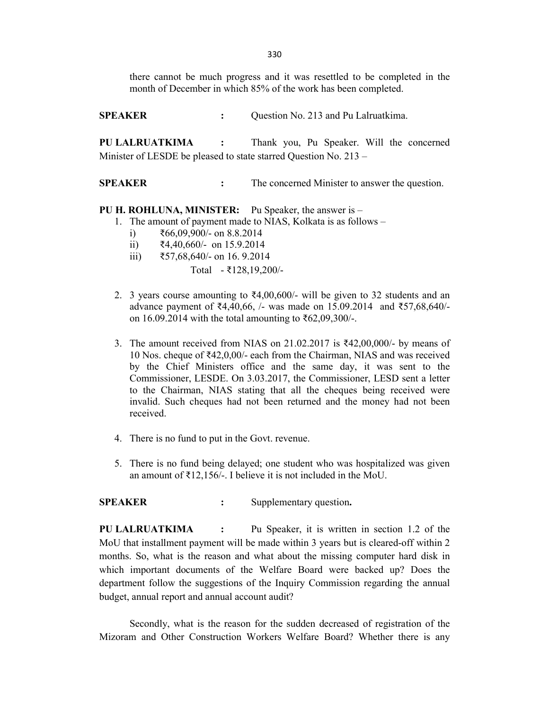330

there cannot be much progress and it was resettled to be completed in the month of December in which 85% of the work has been completed.

**SPEAKER :** Question No. 213 and Pu Lalruatkima.

**PU LALRUATKIMA :** Thank you, Pu Speaker. Will the concerned Minister of LESDE be pleased to state starred Question No. 213 –

**SPEAKER** : The concerned Minister to answer the question.

### **PU H. ROHLUNA, MINISTER:** Pu Speaker, the answer is –

- 1. The amount of payment made to NIAS, Kolkata is as follows
	- i) ₹66,09,900/- on 8.8.2014
	- ii) ₹4,40,660/- on 15.9.2014
	- iii) ₹57,68,640/- on 16. 9.2014 Total - ₹128,19,200/-
- 2. 3 years course amounting to  $\overline{24,00,600}$  will be given to 32 students and an advance payment of ₹4,40,66, /- was made on 15.09.2014 and ₹57,68,640/ on 16.09.2014 with the total amounting to ₹62,09,300/-.
- 3. The amount received from NIAS on 21.02.2017 is  $\text{\textdegree}42,00,000/2$  by means of 10 Nos. cheque of ₹42,0,00/- each from the Chairman, NIAS and was received by the Chief Ministers office and the same day, it was sent to the Commissioner, LESDE. On 3.03.2017, the Commissioner, LESD sent a letter to the Chairman, NIAS stating that all the cheques being received were invalid. Such cheques had not been returned and the money had not been received.
- 4. There is no fund to put in the Govt. revenue.
- 5. There is no fund being delayed; one student who was hospitalized was given an amount of  $\overline{\xi}$ 12,156/-. I believe it is not included in the MoU.

## **SPEAKER** : Supplementary question.

**PU LALRUATKIMA :** Pu Speaker, it is written in section 1.2 of the MoU that installment payment will be made within 3 years but is cleared-off within 2 months. So, what is the reason and what about the missing computer hard disk in which important documents of the Welfare Board were backed up? Does the department follow the suggestions of the Inquiry Commission regarding the annual budget, annual report and annual account audit?

Secondly, what is the reason for the sudden decreased of registration of the Mizoram and Other Construction Workers Welfare Board? Whether there is any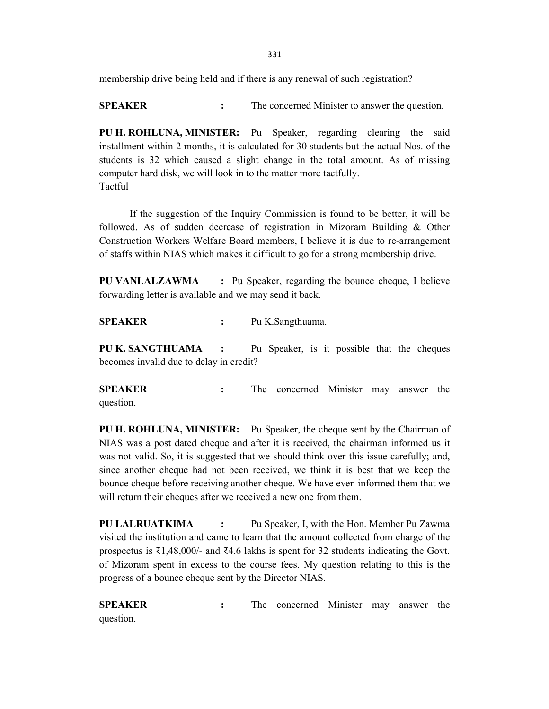membership drive being held and if there is any renewal of such registration?

**SPEAKER :** The concerned Minister to answer the question.

**PU H. ROHLUNA, MINISTER:** Pu Speaker, regarding clearing the said installment within 2 months, it is calculated for 30 students but the actual Nos. of the students is 32 which caused a slight change in the total amount. As of missing computer hard disk, we will look in to the matter more tactfully. Tactful

If the suggestion of the Inquiry Commission is found to be better, it will be followed. As of sudden decrease of registration in Mizoram Building & Other Construction Workers Welfare Board members, I believe it is due to re-arrangement of staffs within NIAS which makes it difficult to go for a strong membership drive.

**PU VANLALZAWMA :** Pu Speaker, regarding the bounce cheque, I believe forwarding letter is available and we may send it back.

**SPEAKER :** Pu K.Sangthuama.

**PU K. SANGTHUAMA :** Pu Speaker, is it possible that the cheques becomes invalid due to delay in credit?

**SPEAKER :** The concerned Minister may answer the question.

**PU H. ROHLUNA, MINISTER:** Pu Speaker, the cheque sent by the Chairman of NIAS was a post dated cheque and after it is received, the chairman informed us it was not valid. So, it is suggested that we should think over this issue carefully; and, since another cheque had not been received, we think it is best that we keep the bounce cheque before receiving another cheque. We have even informed them that we will return their cheques after we received a new one from them.

**PU LALRUATKIMA :** Pu Speaker, I, with the Hon. Member Pu Zawma visited the institution and came to learn that the amount collected from charge of the prospectus is ₹1,48,000/- and ₹4.6 lakhs is spent for 32 students indicating the Govt. of Mizoram spent in excess to the course fees. My question relating to this is the progress of a bounce cheque sent by the Director NIAS.

**SPEAKER :** The concerned Minister may answer the question.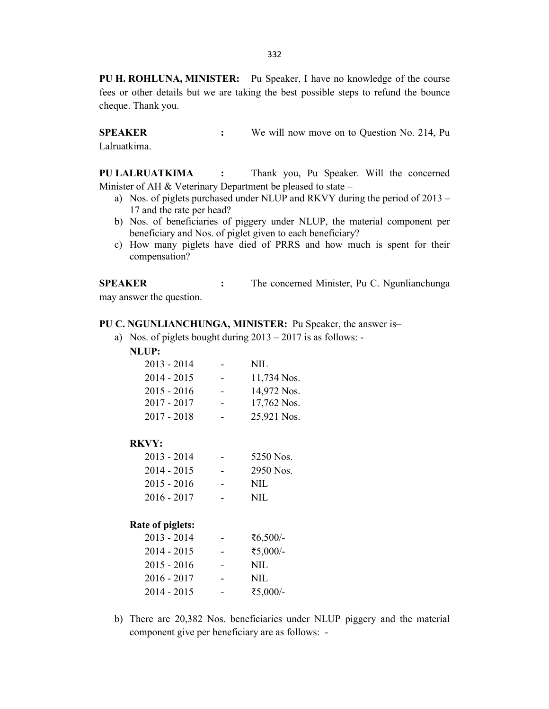**PU H. ROHLUNA, MINISTER:** Pu Speaker, I have no knowledge of the course fees or other details but we are taking the best possible steps to refund the bounce cheque. Thank you.

**SPEAKER** : We will now move on to Question No. 214, Pu Lalruatkima.

**PU LALRUATKIMA :** Thank you, Pu Speaker. Will the concerned Minister of AH & Veterinary Department be pleased to state –

- a) Nos. of piglets purchased under NLUP and RKVY during the period of 2013 17 and the rate per head?
- b) Nos. of beneficiaries of piggery under NLUP, the material component per beneficiary and Nos. of piglet given to each beneficiary?
- c) How many piglets have died of PRRS and how much is spent for their compensation?

**SPEAKER** : The concerned Minister, Pu C. Ngunlianchunga may answer the question.

#### **PU C. NGUNLIANCHUNGA, MINISTER:** Pu Speaker, the answer is–

a) Nos. of piglets bought during 2013 – 2017 is as follows: -

**NLUP:**

| $2013 - 2014$ | NIL.        |
|---------------|-------------|
| $2014 - 2015$ | 11,734 Nos. |
| $2015 - 2016$ | 14,972 Nos. |
| $2017 - 2017$ | 17,762 Nos. |
| $2017 - 2018$ | 25,921 Nos. |

### **RKVY:**

| $2013 - 2014$ | 5250 Nos. |
|---------------|-----------|
| $2014 - 2015$ | 2950 Nos. |
| $2015 - 2016$ | NIL.      |
| $2016 - 2017$ | NIL.      |
|               |           |

### **Rate of piglets:**

| $2013 - 2014$ | ₹6,500/- |
|---------------|----------|
| 2014 - 2015   | ₹5,000/- |
| $2015 - 2016$ | NIL      |
| 2016 - 2017   | NIL      |
| 2014 - 2015   | ₹5,000/- |

b) There are 20,382 Nos. beneficiaries under NLUP piggery and the material component give per beneficiary are as follows: -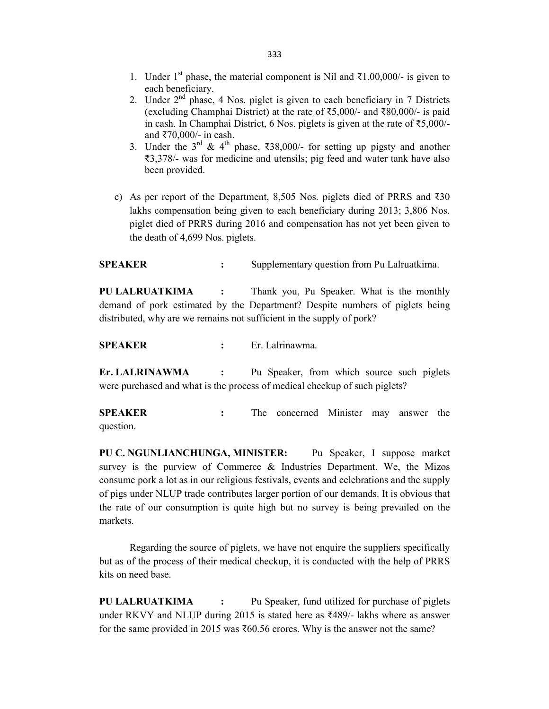- 1. Under 1<sup>st</sup> phase, the material component is Nil and ₹1,00,000/- is given to each beneficiary.
- 2. Under  $2<sup>nd</sup>$  phase, 4 Nos. piglet is given to each beneficiary in 7 Districts (excluding Champhai District) at the rate of ₹5,000/- and ₹80,000/- is paid in cash. In Champhai District, 6 Nos. piglets is given at the rate of ₹5,000/ and ₹70,000/- in cash.
- 3. Under the  $3^{rd}$  & 4<sup>th</sup> phase, ₹38,000/- for setting up pigsty and another ₹3,378/- was for medicine and utensils; pig feed and water tank have also been provided.
- c) As per report of the Department, 8,505 Nos. piglets died of PRRS and ₹30 lakhs compensation being given to each beneficiary during 2013; 3,806 Nos. piglet died of PRRS during 2016 and compensation has not yet been given to the death of 4,699 Nos. piglets.

**SPEAKER** : Supplementary question from Pu Lalruatkima.

**PU LALRUATKIMA :** Thank you, Pu Speaker. What is the monthly demand of pork estimated by the Department? Despite numbers of piglets being distributed, why are we remains not sufficient in the supply of pork?

**SPEAKER :** Er. Lalrinawma.

**Er. LALRINAWMA :** Pu Speaker, from which source such piglets were purchased and what is the process of medical checkup of such piglets?

**SPEAKER :** The concerned Minister may answer the question.

**PU C. NGUNLIANCHUNGA, MINISTER:** Pu Speaker, I suppose market survey is the purview of Commerce & Industries Department. We, the Mizos consume pork a lot as in our religious festivals, events and celebrations and the supply of pigs under NLUP trade contributes larger portion of our demands. It is obvious that the rate of our consumption is quite high but no survey is being prevailed on the markets.

Regarding the source of piglets, we have not enquire the suppliers specifically but as of the process of their medical checkup, it is conducted with the help of PRRS kits on need base.

**PU LALRUATKIMA :** Pu Speaker, fund utilized for purchase of piglets under RKVY and NLUP during 2015 is stated here as ₹489/- lakhs where as answer for the same provided in 2015 was ₹60.56 crores. Why is the answer not the same?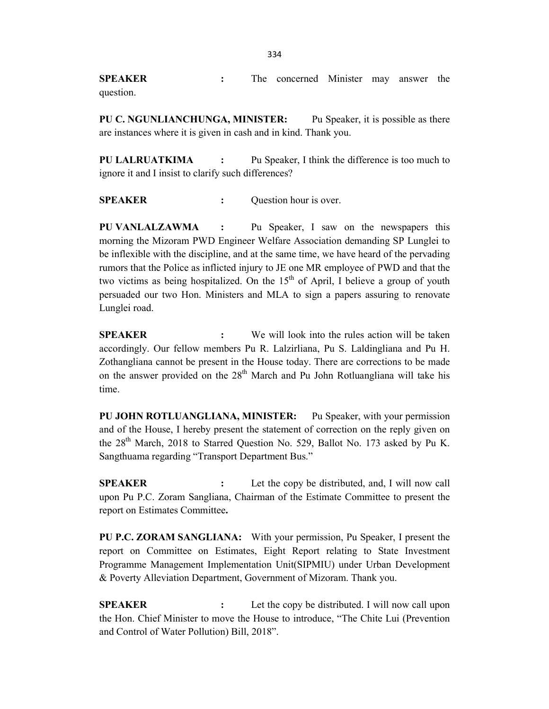**SPEAKER :** The concerned Minister may answer the question.

**PU C. NGUNLIANCHUNGA, MINISTER:** Pu Speaker, it is possible as there are instances where it is given in cash and in kind. Thank you.

**PU LALRUATKIMA :** Pu Speaker, I think the difference is too much to ignore it and I insist to clarify such differences?

**SPEAKER** : Question hour is over.

**PU VANLALZAWMA :** Pu Speaker, I saw on the newspapers this morning the Mizoram PWD Engineer Welfare Association demanding SP Lunglei to be inflexible with the discipline, and at the same time, we have heard of the pervading rumors that the Police as inflicted injury to JE one MR employee of PWD and that the two victims as being hospitalized. On the  $15<sup>th</sup>$  of April, I believe a group of youth persuaded our two Hon. Ministers and MLA to sign a papers assuring to renovate Lunglei road.

**SPEAKER :** We will look into the rules action will be taken accordingly. Our fellow members Pu R. Lalzirliana, Pu S. Laldingliana and Pu H. Zothangliana cannot be present in the House today. There are corrections to be made on the answer provided on the  $28<sup>th</sup>$  March and Pu John Rotluangliana will take his time.

**PU JOHN ROTLUANGLIANA, MINISTER:** Pu Speaker, with your permission and of the House, I hereby present the statement of correction on the reply given on the 28<sup>th</sup> March, 2018 to Starred Question No. 529, Ballot No. 173 asked by Pu K. Sangthuama regarding "Transport Department Bus."

**SPEAKER** : Let the copy be distributed, and, I will now call upon Pu P.C. Zoram Sangliana, Chairman of the Estimate Committee to present the report on Estimates Committee**.**

**PU P.C. ZORAM SANGLIANA:** With your permission, Pu Speaker, I present the report on Committee on Estimates, Eight Report relating to State Investment Programme Management Implementation Unit(SIPMIU) under Urban Development & Poverty Alleviation Department, Government of Mizoram. Thank you.

**SPEAKER** : Let the copy be distributed. I will now call upon the Hon. Chief Minister to move the House to introduce, "The Chite Lui (Prevention and Control of Water Pollution) Bill, 2018".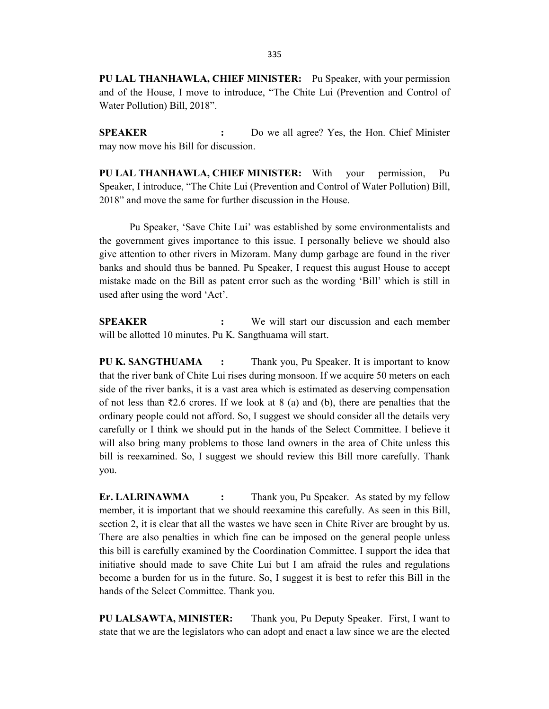**PU LAL THANHAWLA, CHIEF MINISTER:** Pu Speaker, with your permission and of the House, I move to introduce, "The Chite Lui (Prevention and Control of Water Pollution) Bill, 2018".

**SPEAKER :** Do we all agree? Yes, the Hon. Chief Minister may now move his Bill for discussion.

**PU LAL THANHAWLA, CHIEF MINISTER:** With your permission, Pu Speaker, I introduce, "The Chite Lui (Prevention and Control of Water Pollution) Bill, 2018" and move the same for further discussion in the House.

Pu Speaker, 'Save Chite Lui' was established by some environmentalists and the government gives importance to this issue. I personally believe we should also give attention to other rivers in Mizoram. Many dump garbage are found in the river banks and should thus be banned. Pu Speaker, I request this august House to accept mistake made on the Bill as patent error such as the wording 'Bill' which is still in used after using the word 'Act'.

**SPEAKER :** We will start our discussion and each member will be allotted 10 minutes. Pu K. Sangthuama will start.

**PU K. SANGTHUAMA :** Thank you, Pu Speaker. It is important to know that the river bank of Chite Lui rises during monsoon. If we acquire 50 meters on each side of the river banks, it is a vast area which is estimated as deserving compensation of not less than  $\overline{22.6}$  crores. If we look at 8 (a) and (b), there are penalties that the ordinary people could not afford. So, I suggest we should consider all the details very carefully or I think we should put in the hands of the Select Committee. I believe it will also bring many problems to those land owners in the area of Chite unless this bill is reexamined. So, I suggest we should review this Bill more carefully. Thank you.

**Er. LALRINAWMA :** Thank you, Pu Speaker. As stated by my fellow member, it is important that we should reexamine this carefully. As seen in this Bill, section 2, it is clear that all the wastes we have seen in Chite River are brought by us. There are also penalties in which fine can be imposed on the general people unless this bill is carefully examined by the Coordination Committee. I support the idea that initiative should made to save Chite Lui but I am afraid the rules and regulations become a burden for us in the future. So, I suggest it is best to refer this Bill in the hands of the Select Committee. Thank you.

**PU LALSAWTA, MINISTER:** Thank you, Pu Deputy Speaker. First, I want to state that we are the legislators who can adopt and enact a law since we are the elected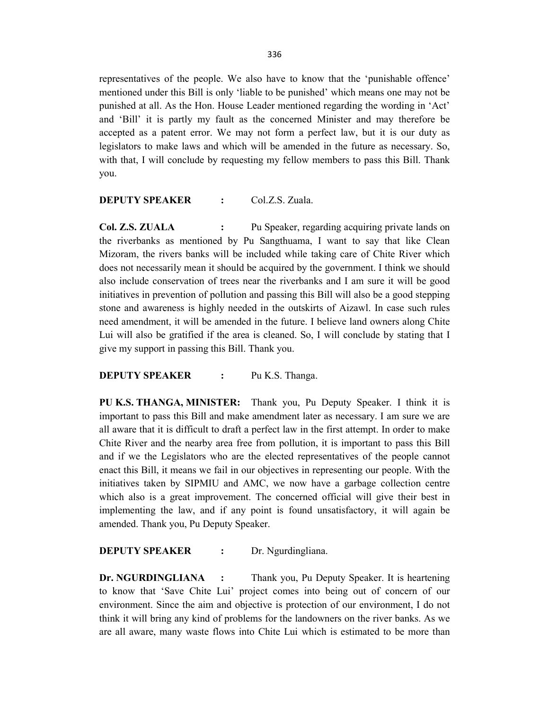representatives of the people. We also have to know that the 'punishable offence' mentioned under this Bill is only 'liable to be punished' which means one may not be punished at all. As the Hon. House Leader mentioned regarding the wording in 'Act' and 'Bill' it is partly my fault as the concerned Minister and may therefore be accepted as a patent error. We may not form a perfect law, but it is our duty as legislators to make laws and which will be amended in the future as necessary. So, with that, I will conclude by requesting my fellow members to pass this Bill. Thank you.

### **DEPUTY SPEAKER :** Col.Z.S. Zuala.

**Col. Z.S. ZUALA** : Pu Speaker, regarding acquiring private lands on the riverbanks as mentioned by Pu Sangthuama, I want to say that like Clean Mizoram, the rivers banks will be included while taking care of Chite River which does not necessarily mean it should be acquired by the government. I think we should also include conservation of trees near the riverbanks and I am sure it will be good initiatives in prevention of pollution and passing this Bill will also be a good stepping stone and awareness is highly needed in the outskirts of Aizawl. In case such rules need amendment, it will be amended in the future. I believe land owners along Chite Lui will also be gratified if the area is cleaned. So, I will conclude by stating that I give my support in passing this Bill. Thank you.

### **DEPUTY SPEAKER** : Pu K.S. Thanga.

**PU K.S. THANGA, MINISTER:** Thank you, Pu Deputy Speaker. I think it is important to pass this Bill and make amendment later as necessary. I am sure we are all aware that it is difficult to draft a perfect law in the first attempt. In order to make Chite River and the nearby area free from pollution, it is important to pass this Bill and if we the Legislators who are the elected representatives of the people cannot enact this Bill, it means we fail in our objectives in representing our people. With the initiatives taken by SIPMIU and AMC, we now have a garbage collection centre which also is a great improvement. The concerned official will give their best in implementing the law, and if any point is found unsatisfactory, it will again be amended. Thank you, Pu Deputy Speaker.

### **DEPUTY SPEAKER :** Dr. Ngurdingliana.

**Dr. NGURDINGLIANA :** Thank you, Pu Deputy Speaker. It is heartening to know that 'Save Chite Lui' project comes into being out of concern of our environment. Since the aim and objective is protection of our environment, I do not think it will bring any kind of problems for the landowners on the river banks. As we are all aware, many waste flows into Chite Lui which is estimated to be more than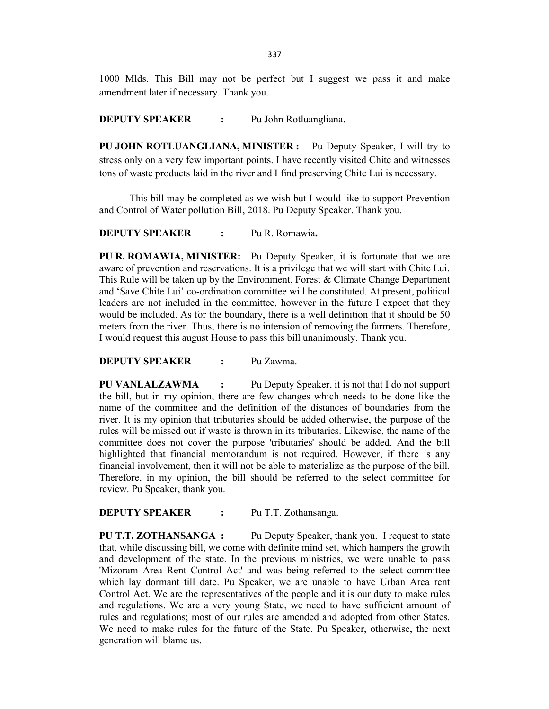1000 Mlds. This Bill may not be perfect but I suggest we pass it and make amendment later if necessary. Thank you.

**DEPUTY SPEAKER :** Pu John Rotluangliana.

**PU JOHN ROTLUANGLIANA, MINISTER :** Pu Deputy Speaker, I will try to stress only on a very few important points. I have recently visited Chite and witnesses tons of waste products laid in the river and I find preserving Chite Lui is necessary.

This bill may be completed as we wish but I would like to support Prevention and Control of Water pollution Bill, 2018. Pu Deputy Speaker. Thank you.

**DEPUTY SPEAKER :** Pu R. Romawia**.**

**PU R. ROMAWIA, MINISTER:** Pu Deputy Speaker, it is fortunate that we are aware of prevention and reservations. It is a privilege that we will start with Chite Lui. This Rule will be taken up by the Environment, Forest & Climate Change Department and 'Save Chite Lui' co-ordination committee will be constituted. At present, political leaders are not included in the committee, however in the future I expect that they would be included. As for the boundary, there is a well definition that it should be 50 meters from the river. Thus, there is no intension of removing the farmers. Therefore, I would request this august House to pass this bill unanimously. Thank you.

**DEPUTY SPEAKER :** Pu Zawma.

**PU VANLALZAWMA :** Pu Deputy Speaker, it is not that I do not support the bill, but in my opinion, there are few changes which needs to be done like the name of the committee and the definition of the distances of boundaries from the river. It is my opinion that tributaries should be added otherwise, the purpose of the rules will be missed out if waste is thrown in its tributaries. Likewise, the name of the committee does not cover the purpose 'tributaries' should be added. And the bill highlighted that financial memorandum is not required. However, if there is any financial involvement, then it will not be able to materialize as the purpose of the bill. Therefore, in my opinion, the bill should be referred to the select committee for review. Pu Speaker, thank you.

**DEPUTY SPEAKER :** Pu T.T. Zothansanga.

**PU T.T. ZOTHANSANGA :** Pu Deputy Speaker, thank you.I request to state that, while discussing bill, we come with definite mind set, which hampers the growth and development of the state. In the previous ministries, we were unable to pass 'Mizoram Area Rent Control Act' and was being referred to the select committee which lay dormant till date. Pu Speaker, we are unable to have Urban Area rent Control Act. We are the representatives of the people and it is our duty to make rules and regulations. We are a very young State, we need to have sufficient amount of rules and regulations; most of our rules are amended and adopted from other States. We need to make rules for the future of the State. Pu Speaker, otherwise, the next generation will blame us.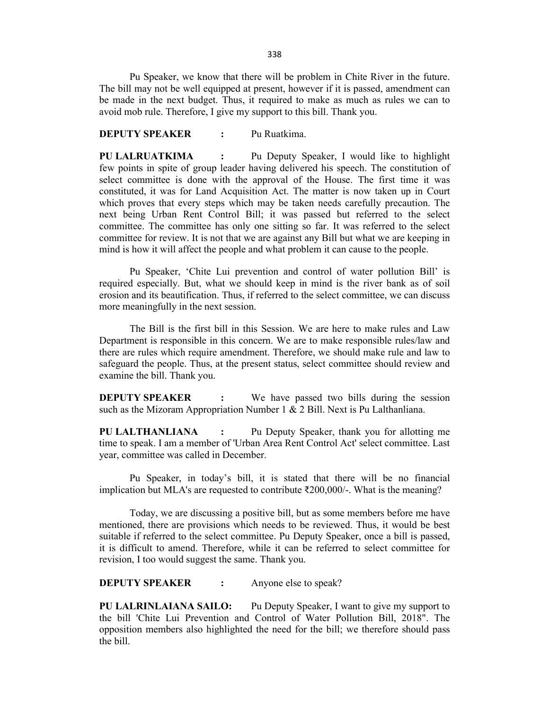Pu Speaker, we know that there will be problem in Chite River in the future. The bill may not be well equipped at present, however if it is passed, amendment can be made in the next budget. Thus, it required to make as much as rules we can to avoid mob rule. Therefore, I give my support to this bill. Thank you.

### **DEPUTY SPEAKER :** Pu Ruatkima.

**PU LALRUATKIMA :** Pu Deputy Speaker, I would like to highlight few points in spite of group leader having delivered his speech. The constitution of select committee is done with the approval of the House. The first time it was constituted, it was for Land Acquisition Act. The matter is now taken up in Court which proves that every steps which may be taken needs carefully precaution. The next being Urban Rent Control Bill; it was passed but referred to the select committee. The committee has only one sitting so far. It was referred to the select committee for review. It is not that we are against any Bill but what we are keeping in mind is how it will affect the people and what problem it can cause to the people.

Pu Speaker, 'Chite Lui prevention and control of water pollution Bill' is required especially. But, what we should keep in mind is the river bank as of soil erosion and its beautification. Thus, if referred to the select committee, we can discuss more meaningfully in the next session.

The Bill is the first bill in this Session. We are here to make rules and Law Department is responsible in this concern. We are to make responsible rules/law and there are rules which require amendment. Therefore, we should make rule and law to safeguard the people. Thus, at the present status, select committee should review and examine the bill. Thank you.

**DEPUTY SPEAKER :** We have passed two bills during the session such as the Mizoram Appropriation Number 1 & 2 Bill. Next is Pu Lalthanliana.

**PU LALTHANLIANA :** Pu Deputy Speaker, thank you for allotting me time to speak. I am a member of 'Urban Area Rent Control Act' select committee. Last year, committee was called in December.

Pu Speaker, in today's bill, it is stated that there will be no financial implication but MLA's are requested to contribute ₹200,000/-. What is the meaning?

Today, we are discussing a positive bill, but as some members before me have mentioned, there are provisions which needs to be reviewed. Thus, it would be best suitable if referred to the select committee. Pu Deputy Speaker, once a bill is passed, it is difficult to amend. Therefore, while it can be referred to select committee for revision, I too would suggest the same. Thank you.

**DEPUTY SPEAKER :** Anyone else to speak?

**PU LALRINLAIANA SAILO:** Pu Deputy Speaker, I want to give my support to the bill 'Chite Lui Prevention and Control of Water Pollution Bill, 2018". The opposition members also highlighted the need for the bill; we therefore should pass the bill.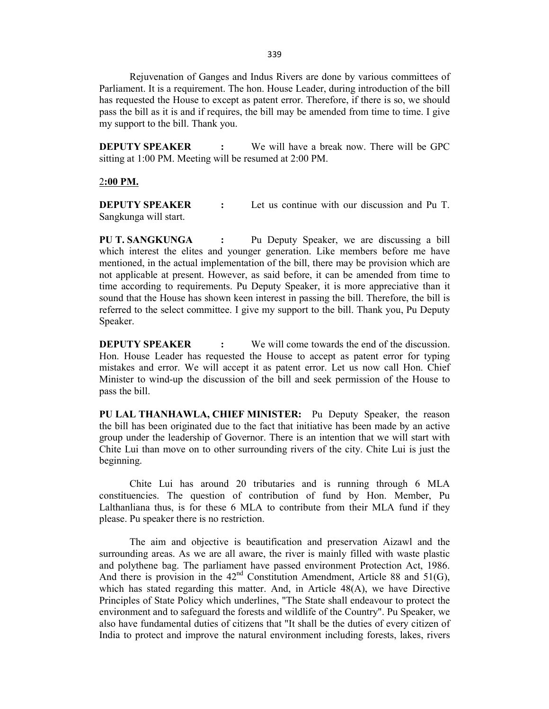Rejuvenation of Ganges and Indus Rivers are done by various committees of Parliament. It is a requirement. The hon. House Leader, during introduction of the bill has requested the House to except as patent error. Therefore, if there is so, we should pass the bill as it is and if requires, the bill may be amended from time to time. I give my support to the bill. Thank you.

**DEPUTY SPEAKER :** We will have a break now. There will be GPC sitting at 1:00 PM. Meeting will be resumed at 2:00 PM.

#### 2**:00 PM.**

**DEPUTY SPEAKER :** Let us continue with our discussion and Pu T. Sangkunga will start.

**PU T. SANGKUNGA :** Pu Deputy Speaker, we are discussing a bill which interest the elites and younger generation. Like members before me have mentioned, in the actual implementation of the bill, there may be provision which are not applicable at present. However, as said before, it can be amended from time to time according to requirements. Pu Deputy Speaker, it is more appreciative than it sound that the House has shown keen interest in passing the bill. Therefore, the bill is referred to the select committee. I give my support to the bill. Thank you, Pu Deputy Speaker.

**DEPUTY SPEAKER** : We will come towards the end of the discussion. Hon. House Leader has requested the House to accept as patent error for typing mistakes and error. We will accept it as patent error. Let us now call Hon. Chief Minister to wind-up the discussion of the bill and seek permission of the House to pass the bill.

**PU LAL THANHAWLA, CHIEF MINISTER:** Pu Deputy Speaker, the reason the bill has been originated due to the fact that initiative has been made by an active group under the leadership of Governor. There is an intention that we will start with Chite Lui than move on to other surrounding rivers of the city. Chite Lui is just the beginning.

Chite Lui has around 20 tributaries and is running through 6 MLA constituencies. The question of contribution of fund by Hon. Member, Pu Lalthanliana thus, is for these 6 MLA to contribute from their MLA fund if they please. Pu speaker there is no restriction.

The aim and objective is beautification and preservation Aizawl and the surrounding areas. As we are all aware, the river is mainly filled with waste plastic and polythene bag. The parliament have passed environment Protection Act, 1986. And there is provision in the  $42<sup>nd</sup>$  Constitution Amendment, Article 88 and 51(G), which has stated regarding this matter. And, in Article  $48(A)$ , we have Directive Principles of State Policy which underlines, "The State shall endeavour to protect the environment and to safeguard the forests and wildlife of the Country". Pu Speaker, we also have fundamental duties of citizens that "It shall be the duties of every citizen of India to protect and improve the natural environment including forests, lakes, rivers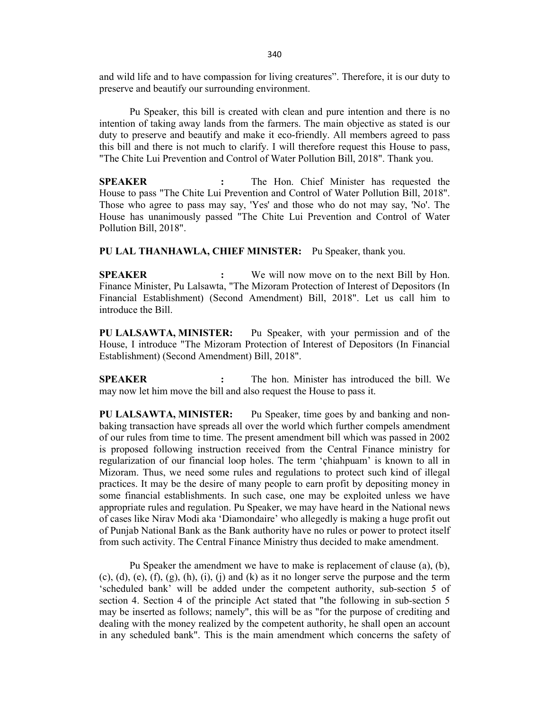and wild life and to have compassion for living creatures". Therefore, it is our duty to preserve and beautify our surrounding environment.

Pu Speaker, this bill is created with clean and pure intention and there is no intention of taking away lands from the farmers. The main objective as stated is our duty to preserve and beautify and make it eco-friendly. All members agreed to pass this bill and there is not much to clarify. I will therefore request this House to pass, "The Chite Lui Prevention and Control of Water Pollution Bill, 2018". Thank you.

**SPEAKER :** The Hon. Chief Minister has requested the House to pass "The Chite Lui Prevention and Control of Water Pollution Bill, 2018". Those who agree to pass may say, 'Yes' and those who do not may say, 'No'. The House has unanimously passed "The Chite Lui Prevention and Control of Water Pollution Bill, 2018".

**PU LAL THANHAWLA, CHIEF MINISTER:** Pu Speaker, thank you.

**SPEAKER :** We will now move on to the next Bill by Hon. Finance Minister, Pu Lalsawta, "The Mizoram Protection of Interest of Depositors (In Financial Establishment) (Second Amendment) Bill, 2018". Let us call him to introduce the Bill.

**PU LALSAWTA, MINISTER:** Pu Speaker, with your permission and of the House, I introduce "The Mizoram Protection of Interest of Depositors (In Financial Establishment) (Second Amendment) Bill, 2018".

**SPEAKER :** The hon. Minister has introduced the bill. We may now let him move the bill and also request the House to pass it.

**PU LALSAWTA, MINISTER:** Pu Speaker, time goes by and banking and nonbaking transaction have spreads all over the world which further compels amendment of our rules from time to time. The present amendment bill which was passed in 2002 is proposed following instruction received from the Central Finance ministry for regularization of our financial loop holes. The term 'çhiahpuam' is known to all in Mizoram. Thus, we need some rules and regulations to protect such kind of illegal practices. It may be the desire of many people to earn profit by depositing money in some financial establishments. In such case, one may be exploited unless we have appropriate rules and regulation. Pu Speaker, we may have heard in the National news of cases like Nirav Modi aka 'Diamondaire' who allegedly is making a huge profit out of Punjab National Bank as the Bank authority have no rules or power to protect itself from such activity. The Central Finance Ministry thus decided to make amendment.

Pu Speaker the amendment we have to make is replacement of clause (a), (b),  $(c)$ ,  $(d)$ ,  $(e)$ ,  $(f)$ ,  $(g)$ ,  $(h)$ ,  $(i)$ ,  $(i)$  and  $(k)$  as it no longer serve the purpose and the term 'scheduled bank' will be added under the competent authority, sub-section 5 of section 4. Section 4 of the principle Act stated that "the following in sub-section 5 may be inserted as follows; namely", this will be as "for the purpose of crediting and dealing with the money realized by the competent authority, he shall open an account in any scheduled bank". This is the main amendment which concerns the safety of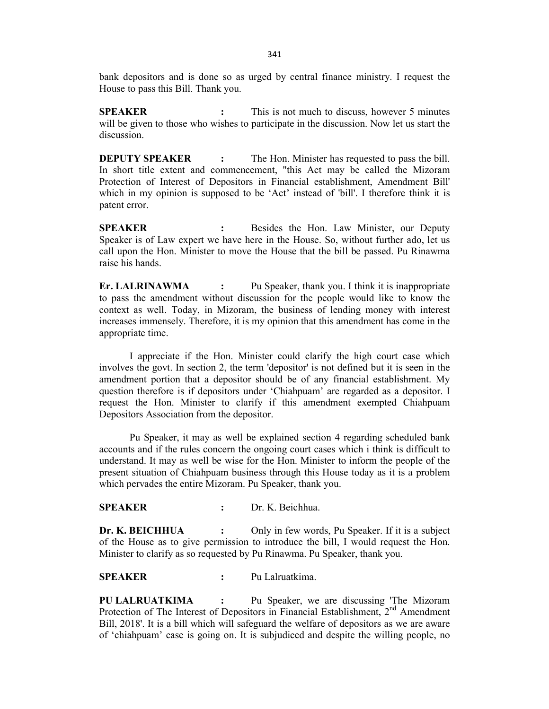bank depositors and is done so as urged by central finance ministry. I request the House to pass this Bill. Thank you.

**SPEAKER :** This is not much to discuss, however 5 minutes will be given to those who wishes to participate in the discussion. Now let us start the discussion.

**DEPUTY SPEAKER** : The Hon. Minister has requested to pass the bill. In short title extent and commencement, "this Act may be called the Mizoram Protection of Interest of Depositors in Financial establishment, Amendment Bill' which in my opinion is supposed to be 'Act' instead of 'bill'. I therefore think it is patent error.

**SPEAKER :** Besides the Hon. Law Minister, our Deputy Speaker is of Law expert we have here in the House. So, without further ado, let us call upon the Hon. Minister to move the House that the bill be passed. Pu Rinawma raise his hands.

**Er. LALRINAWMA :** Pu Speaker, thank you. I think it is inappropriate to pass the amendment without discussion for the people would like to know the context as well. Today, in Mizoram, the business of lending money with interest increases immensely. Therefore, it is my opinion that this amendment has come in the appropriate time.

I appreciate if the Hon. Minister could clarify the high court case which involves the govt. In section 2, the term 'depositor' is not defined but it is seen in the amendment portion that a depositor should be of any financial establishment. My question therefore is if depositors under 'Chiahpuam' are regarded as a depositor. I request the Hon. Minister to clarify if this amendment exempted Chiahpuam Depositors Association from the depositor.

Pu Speaker, it may as well be explained section 4 regarding scheduled bank accounts and if the rules concern the ongoing court cases which i think is difficult to understand. It may as well be wise for the Hon. Minister to inform the people of the present situation of Chiahpuam business through this House today as it is a problem which pervades the entire Mizoram. Pu Speaker, thank you.

### **SPEAKER :** Dr. K. Beichhua.

**Dr. K. BEICHHUA** : Only in few words, Pu Speaker. If it is a subject of the House as to give permission to introduce the bill, I would request the Hon. Minister to clarify as so requested by Pu Rinawma. Pu Speaker, thank you.

**SPEAKER :** Pu Lalruatkima.

**PU LALRUATKIMA :** Pu Speaker, we are discussing 'The Mizoram Protection of The Interest of Depositors in Financial Establishment,  $2<sup>nd</sup>$  Amendment Bill, 2018'. It is a bill which will safeguard the welfare of depositors as we are aware of 'chiahpuam' case is going on. It is subjudiced and despite the willing people, no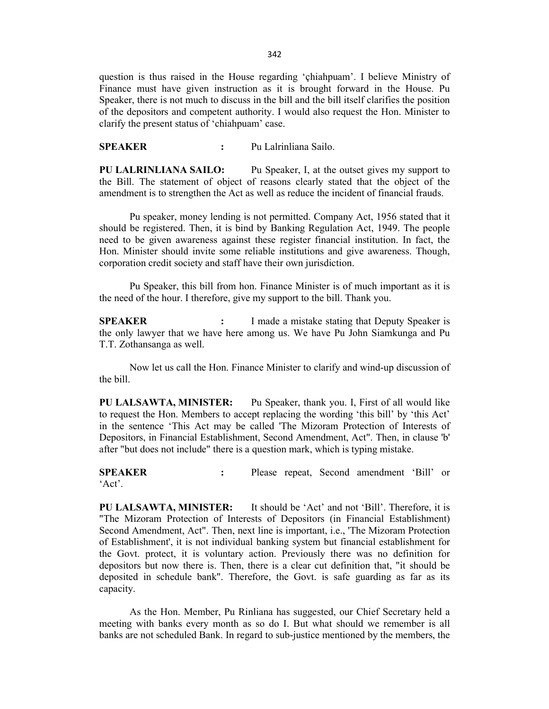question is thus raised in the House regarding 'çhiahpuam'. I believe Ministry of Finance must have given instruction as it is brought forward in the House. Pu Speaker, there is not much to discuss in the bill and the bill itself clarifies the position of the depositors and competent authority. I would also request the Hon. Minister to clarify the present status of 'chiahpuam' case.

**SPEAKER :** Pu Lalrinliana Sailo.

**PU LALRINLIANA SAILO:** Pu Speaker, I, at the outset gives my support to the Bill. The statement of object of reasons clearly stated that the object of the amendment is to strengthen the Act as well as reduce the incident of financial frauds.

Pu speaker, money lending is not permitted. Company Act, 1956 stated that it should be registered. Then, it is bind by Banking Regulation Act, 1949. The people need to be given awareness against these register financial institution. In fact, the Hon. Minister should invite some reliable institutions and give awareness. Though, corporation credit society and staff have their own jurisdiction.

Pu Speaker, this bill from hon. Finance Minister is of much important as it is the need of the hour. I therefore, give my support to the bill. Thank you.

**SPEAKER :** I made a mistake stating that Deputy Speaker is the only lawyer that we have here among us. We have Pu John Siamkunga and Pu T.T. Zothansanga as well.

Now let us call the Hon. Finance Minister to clarify and wind-up discussion of the bill.

**PU LALSAWTA, MINISTER:** Pu Speaker, thank you. I, First of all would like to request the Hon. Members to accept replacing the wording 'this bill' by 'this Act' in the sentence 'This Act may be called 'The Mizoram Protection of Interests of Depositors, in Financial Establishment, Second Amendment, Act". Then, in clause 'b' after "but does not include" there is a question mark, which is typing mistake.

**SPEAKER :** Please repeat, Second amendment 'Bill' or 'Act'.

**PU LALSAWTA, MINISTER:** It should be 'Act' and not 'Bill'. Therefore, it is "The Mizoram Protection of Interests of Depositors (in Financial Establishment) Second Amendment, Act". Then, next line is important, i.e., 'The Mizoram Protection of Establishment', it is not individual banking system but financial establishment for the Govt. protect, it is voluntary action. Previously there was no definition for depositors but now there is. Then, there is a clear cut definition that, "it should be deposited in schedule bank". Therefore, the Govt. is safe guarding as far as its capacity.

As the Hon. Member, Pu Rinliana has suggested, our Chief Secretary held a meeting with banks every month as so do I. But what should we remember is all banks are not scheduled Bank. In regard to sub-justice mentioned by the members, the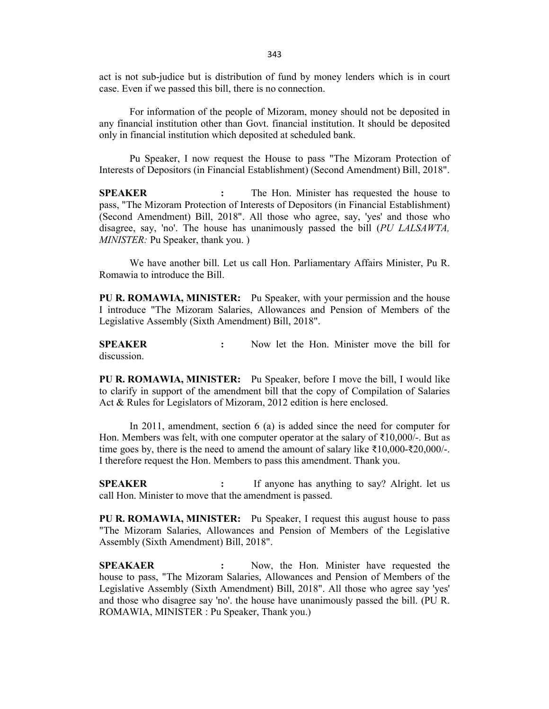act is not sub-judice but is distribution of fund by money lenders which is in court case. Even if we passed this bill, there is no connection.

For information of the people of Mizoram, money should not be deposited in any financial institution other than Govt. financial institution. It should be deposited only in financial institution which deposited at scheduled bank.

Pu Speaker, I now request the House to pass "The Mizoram Protection of Interests of Depositors (in Financial Establishment) (Second Amendment) Bill, 2018".

**SPEAKER :** The Hon. Minister has requested the house to pass, "The Mizoram Protection of Interests of Depositors (in Financial Establishment) (Second Amendment) Bill, 2018". All those who agree, say, 'yes' and those who disagree, say, 'no'. The house has unanimously passed the bill (*PU LALSAWTA, MINISTER:* Pu Speaker, thank you. )

We have another bill. Let us call Hon. Parliamentary Affairs Minister, Pu R. Romawia to introduce the Bill.

**PU R. ROMAWIA, MINISTER:** Pu Speaker, with your permission and the house I introduce "The Mizoram Salaries, Allowances and Pension of Members of the Legislative Assembly (Sixth Amendment) Bill, 2018".

**SPEAKER :** Now let the Hon. Minister move the bill for discussion.

**PU R. ROMAWIA, MINISTER:** Pu Speaker, before I move the bill, I would like to clarify in support of the amendment bill that the copy of Compilation of Salaries Act & Rules for Legislators of Mizoram, 2012 edition is here enclosed.

In 2011, amendment, section 6 (a) is added since the need for computer for Hon. Members was felt, with one computer operator at the salary of  $\bar{\tau}10,000/$ -. But as time goes by, there is the need to amend the amount of salary like ₹10,000-₹20,000/-. I therefore request the Hon. Members to pass this amendment. Thank you.

**SPEAKER :** If anyone has anything to say? Alright. let us call Hon. Minister to move that the amendment is passed.

**PU R. ROMAWIA, MINISTER:** Pu Speaker, I request this august house to pass "The Mizoram Salaries, Allowances and Pension of Members of the Legislative Assembly (Sixth Amendment) Bill, 2018".

**SPEAKAER :** Now, the Hon. Minister have requested the house to pass, "The Mizoram Salaries, Allowances and Pension of Members of the Legislative Assembly (Sixth Amendment) Bill, 2018". All those who agree say 'yes' and those who disagree say 'no'. the house have unanimously passed the bill. (PU R. ROMAWIA, MINISTER : Pu Speaker, Thank you.)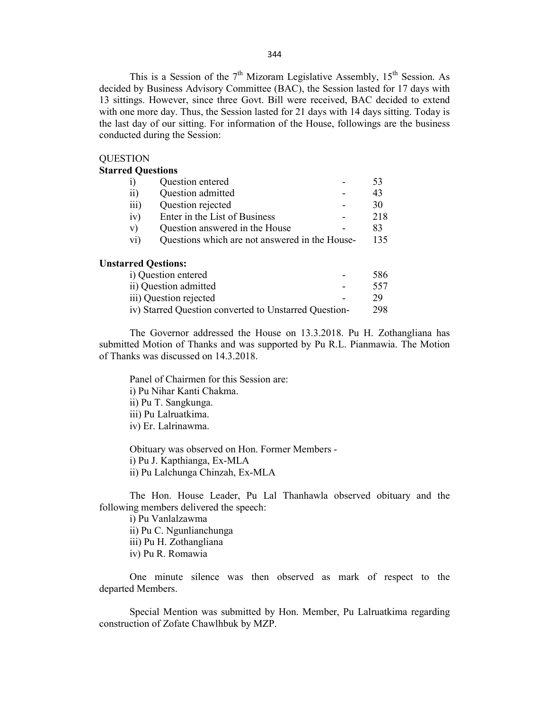This is a Session of the  $7<sup>th</sup>$  Mizoram Legislative Assembly, 15<sup>th</sup> Session. As decided by Business Advisory Committee (BAC), the Session lasted for 17 days with 13 sittings. However, since three Govt. Bill were received, BAC decided to extend with one more day. Thus, the Session lasted for 21 days with 14 days sitting. Today is the last day of our sitting. For information of the House, followings are the business conducted during the Session:

#### **QUESTION**

### **Starred Questions**

| i)                         | Question entered                                      | 53  |
|----------------------------|-------------------------------------------------------|-----|
| $\rm ii)$                  | Question admitted                                     | 43  |
| $\overline{iii}$           | Question rejected                                     | 30  |
| iv)                        | Enter in the List of Business                         | 218 |
| V)                         | Question answered in the House                        | 83  |
| $\rm{vi}$                  | Questions which are not answered in the House-        | 135 |
| <b>Unstarred Qestions:</b> |                                                       |     |
|                            | i) Question entered                                   | 586 |
|                            | ii) Question admitted                                 | 557 |
|                            | iii) Question rejected                                | 29  |
|                            | iv) Starred Question converted to Unstarred Question- | 298 |

The Governor addressed the House on 13.3.2018. Pu H. Zothangliana has submitted Motion of Thanks and was supported by Pu R.L. Pianmawia. The Motion of Thanks was discussed on 14.3.2018.

Panel of Chairmen for this Session are: i) Pu Nihar Kanti Chakma. ii) Pu T. Sangkunga. iii) Pu Lalruatkima. iv) Er. Lalrinawma.

Obituary was observed on Hon. Former Members i) Pu J. Kapthianga, Ex-MLA ii) Pu Lalchunga Chinzah, Ex-MLA

The Hon. House Leader, Pu Lal Thanhawla observed obituary and the following members delivered the speech:

i) Pu Vanlalzawma ii) Pu C. Ngunlianchunga iii) Pu H. Zothangliana iv) Pu R. Romawia

One minute silence was then observed as mark of respect to the departed Members.

Special Mention was submitted by Hon. Member, Pu Lalruatkima regarding construction of Zofate Chawlhbuk by MZP.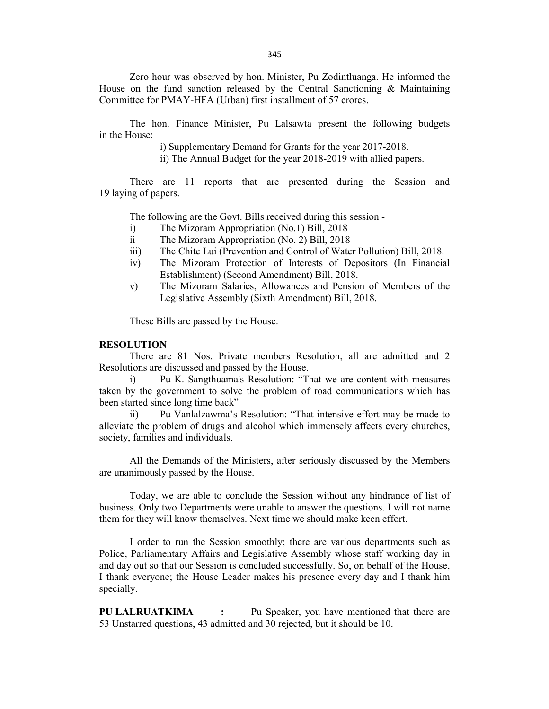Zero hour was observed by hon. Minister, Pu Zodintluanga. He informed the House on the fund sanction released by the Central Sanctioning & Maintaining Committee for PMAY-HFA (Urban) first installment of 57 crores.

The hon. Finance Minister, Pu Lalsawta present the following budgets in the House:

i) Supplementary Demand for Grants for the year 2017-2018.

ii) The Annual Budget for the year 2018-2019 with allied papers.

There are 11 reports that are presented during the Session and 19 laying of papers.

The following are the Govt. Bills received during this session -

- i) The Mizoram Appropriation (No.1) Bill, 2018
- ii The Mizoram Appropriation (No. 2) Bill, 2018
- iii) The Chite Lui (Prevention and Control of Water Pollution) Bill, 2018.
- iv) The Mizoram Protection of Interests of Depositors (In Financial Establishment) (Second Amendment) Bill, 2018.
- v) The Mizoram Salaries, Allowances and Pension of Members of the Legislative Assembly (Sixth Amendment) Bill, 2018.

These Bills are passed by the House.

### **RESOLUTION**

There are 81 Nos. Private members Resolution, all are admitted and 2 Resolutions are discussed and passed by the House.

i) Pu K. Sangthuama's Resolution: "That we are content with measures taken by the government to solve the problem of road communications which has been started since long time back"

ii) Pu Vanlalzawma's Resolution: "That intensive effort may be made to alleviate the problem of drugs and alcohol which immensely affects every churches, society, families and individuals.

All the Demands of the Ministers, after seriously discussed by the Members are unanimously passed by the House.

Today, we are able to conclude the Session without any hindrance of list of business. Only two Departments were unable to answer the questions. I will not name them for they will know themselves. Next time we should make keen effort.

I order to run the Session smoothly; there are various departments such as Police, Parliamentary Affairs and Legislative Assembly whose staff working day in and day out so that our Session is concluded successfully. So, on behalf of the House, I thank everyone; the House Leader makes his presence every day and I thank him specially.

**PU LALRUATKIMA :** Pu Speaker, you have mentioned that there are 53 Unstarred questions, 43 admitted and 30 rejected, but it should be 10.